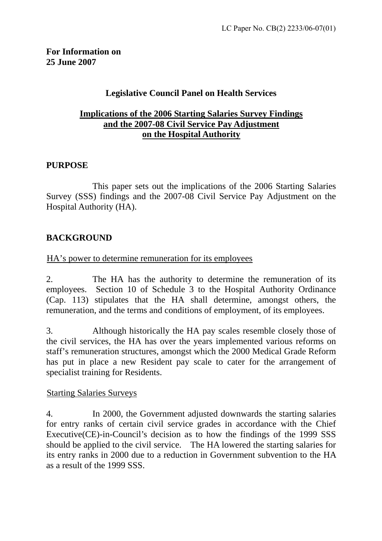# **Legislative Council Panel on Health Services**

## <sup>U</sup>**Implications of the 2006 Starting Salaries Survey Findings** <sup>U</sup>**and the 2007-08 Civil Service Pay Adjustment** <sup>U</sup>**on the Hospital Authority**

## **PURPOSE**

 This paper sets out the implications of the 2006 Starting Salaries Survey (SSS) findings and the 2007-08 Civil Service Pay Adjustment on the Hospital Authority (HA).

# **BACKGROUND**

#### HA's power to determine remuneration for its employees

2. The HA has the authority to determine the remuneration of its employees. Section 10 of Schedule 3 to the Hospital Authority Ordinance (Cap. 113) stipulates that the HA shall determine, amongst others, the remuneration, and the terms and conditions of employment, of its employees.

3. Although historically the HA pay scales resemble closely those of the civil services, the HA has over the years implemented various reforms on staff's remuneration structures, amongst which the 2000 Medical Grade Reform has put in place a new Resident pay scale to cater for the arrangement of specialist training for Residents.

#### **Starting Salaries Surveys**

4. In 2000, the Government adjusted downwards the starting salaries for entry ranks of certain civil service grades in accordance with the Chief Executive(CE)-in-Council's decision as to how the findings of the 1999 SSS should be applied to the civil service. The HA lowered the starting salaries for its entry ranks in 2000 due to a reduction in Government subvention to the HA as a result of the 1999 SSS.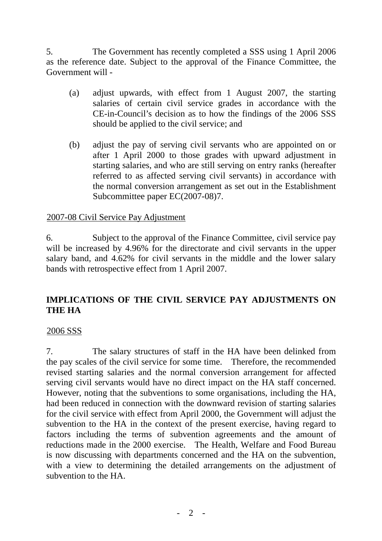5. The Government has recently completed a SSS using 1 April 2006 as the reference date. Subject to the approval of the Finance Committee, the Government will -

- (a) adjust upwards, with effect from 1 August 2007, the starting salaries of certain civil service grades in accordance with the CE-in-Council's decision as to how the findings of the 2006 SSS should be applied to the civil service; and
- (b) adjust the pay of serving civil servants who are appointed on or after 1 April 2000 to those grades with upward adjustment in starting salaries, and who are still serving on entry ranks (hereafter referred to as affected serving civil servants) in accordance with the normal conversion arrangement as set out in the Establishment Subcommittee paper EC(2007-08)7.

## 2007-08 Civil Service Pay Adjustment

6. Subject to the approval of the Finance Committee, civil service pay will be increased by 4.96% for the directorate and civil servants in the upper salary band, and 4.62% for civil servants in the middle and the lower salary bands with retrospective effect from 1 April 2007.

# **IMPLICATIONS OF THE CIVIL SERVICE PAY ADJUSTMENTS ON THE HA**

## 2006 SSS

7. The salary structures of staff in the HA have been delinked from the pay scales of the civil service for some time. Therefore, the recommended revised starting salaries and the normal conversion arrangement for affected serving civil servants would have no direct impact on the HA staff concerned. However, noting that the subventions to some organisations, including the HA, had been reduced in connection with the downward revision of starting salaries for the civil service with effect from April 2000, the Government will adjust the subvention to the HA in the context of the present exercise, having regard to factors including the terms of subvention agreements and the amount of reductions made in the 2000 exercise. The Health, Welfare and Food Bureau is now discussing with departments concerned and the HA on the subvention, with a view to determining the detailed arrangements on the adjustment of subvention to the HA.